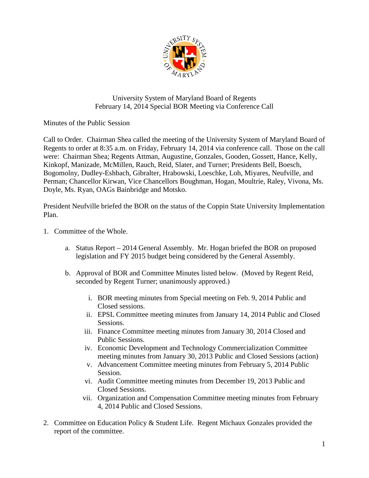

## University System of Maryland Board of Regents February 14, 2014 Special BOR Meeting via Conference Call

Minutes of the Public Session

Call to Order. Chairman Shea called the meeting of the University System of Maryland Board of Regents to order at 8:35 a.m. on Friday, February 14, 2014 via conference call. Those on the call were: Chairman Shea; Regents Attman, Augustine, Gonzales, Gooden, Gossett, Hance, Kelly, Kinkopf, Manizade, McMillen, Rauch, Reid, Slater, and Turner; Presidents Bell, Boesch, Bogomolny, Dudley-Eshbach, Gibralter, Hrabowski, Loeschke, Loh, Miyares, Neufville, and Perman; Chancellor Kirwan, Vice Chancellors Boughman, Hogan, Moultrie, Raley, Vivona, Ms. Doyle, Ms. Ryan, OAGs Bainbridge and Motsko.

President Neufville briefed the BOR on the status of the Coppin State University Implementation Plan.

- 1. Committee of the Whole.
	- a. Status Report 2014 General Assembly. Mr. Hogan briefed the BOR on proposed legislation and FY 2015 budget being considered by the General Assembly.
	- b. Approval of BOR and Committee Minutes listed below. (Moved by Regent Reid, seconded by Regent Turner; unanimously approved.)
		- i. BOR meeting minutes from Special meeting on Feb. 9, 2014 Public and Closed sessions.
		- ii. EPSL Committee meeting minutes from January 14, 2014 Public and Closed Sessions.
		- iii. Finance Committee meeting minutes from January 30, 2014 Closed and Public Sessions.
		- iv. Economic Development and Technology Commercialization Committee meeting minutes from January 30, 2013 Public and Closed Sessions (action)
		- v. Advancement Committee meeting minutes from February 5, 2014 Public Session.
		- vi. Audit Committee meeting minutes from December 19, 2013 Public and Closed Sessions.
		- vii. Organization and Compensation Committee meeting minutes from February 4, 2014 Public and Closed Sessions.
- 2. Committee on Education Policy & Student Life. Regent Michaux Gonzales provided the report of the committee.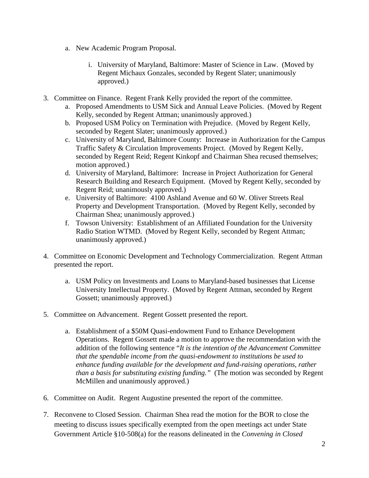- a. New Academic Program Proposal.
	- i. University of Maryland, Baltimore: Master of Science in Law. (Moved by Regent Michaux Gonzales, seconded by Regent Slater; unanimously approved.)
- 3. Committee on Finance. Regent Frank Kelly provided the report of the committee.
	- a. Proposed Amendments to USM Sick and Annual Leave Policies. (Moved by Regent Kelly, seconded by Regent Attman; unanimously approved.)
	- b. Proposed USM Policy on Termination with Prejudice. (Moved by Regent Kelly, seconded by Regent Slater; unanimously approved.)
	- c. University of Maryland, Baltimore County: Increase in Authorization for the Campus Traffic Safety & Circulation Improvements Project. (Moved by Regent Kelly, seconded by Regent Reid; Regent Kinkopf and Chairman Shea recused themselves; motion approved.)
	- d. University of Maryland, Baltimore: Increase in Project Authorization for General Research Building and Research Equipment. (Moved by Regent Kelly, seconded by Regent Reid; unanimously approved.)
	- e. University of Baltimore: 4100 Ashland Avenue and 60 W. Oliver Streets Real Property and Development Transportation. (Moved by Regent Kelly, seconded by Chairman Shea; unanimously approved.)
	- f. Towson University: Establishment of an Affiliated Foundation for the University Radio Station WTMD. (Moved by Regent Kelly, seconded by Regent Attman; unanimously approved.)
- 4. Committee on Economic Development and Technology Commercialization. Regent Attman presented the report.
	- a. USM Policy on Investments and Loans to Maryland-based businesses that License University Intellectual Property. (Moved by Regent Attman, seconded by Regent Gossett; unanimously approved.)
- 5. Committee on Advancement. Regent Gossett presented the report.
	- a. Establishment of a \$50M Quasi-endowment Fund to Enhance Development Operations. Regent Gossett made a motion to approve the recommendation with the addition of the following sentence "*It is the intention of the Advancement Committee that the spendable income from the quasi-endowment to institutions be used to enhance funding available for the development and fund-raising operations, rather than a basis for substituting existing funding."* (The motion was seconded by Regent McMillen and unanimously approved.)
- 6. Committee on Audit. Regent Augustine presented the report of the committee.
- 7. Reconvene to Closed Session. Chairman Shea read the motion for the BOR to close the meeting to discuss issues specifically exempted from the open meetings act under State Government Article §10-508(a) for the reasons delineated in the *Convening in Closed*